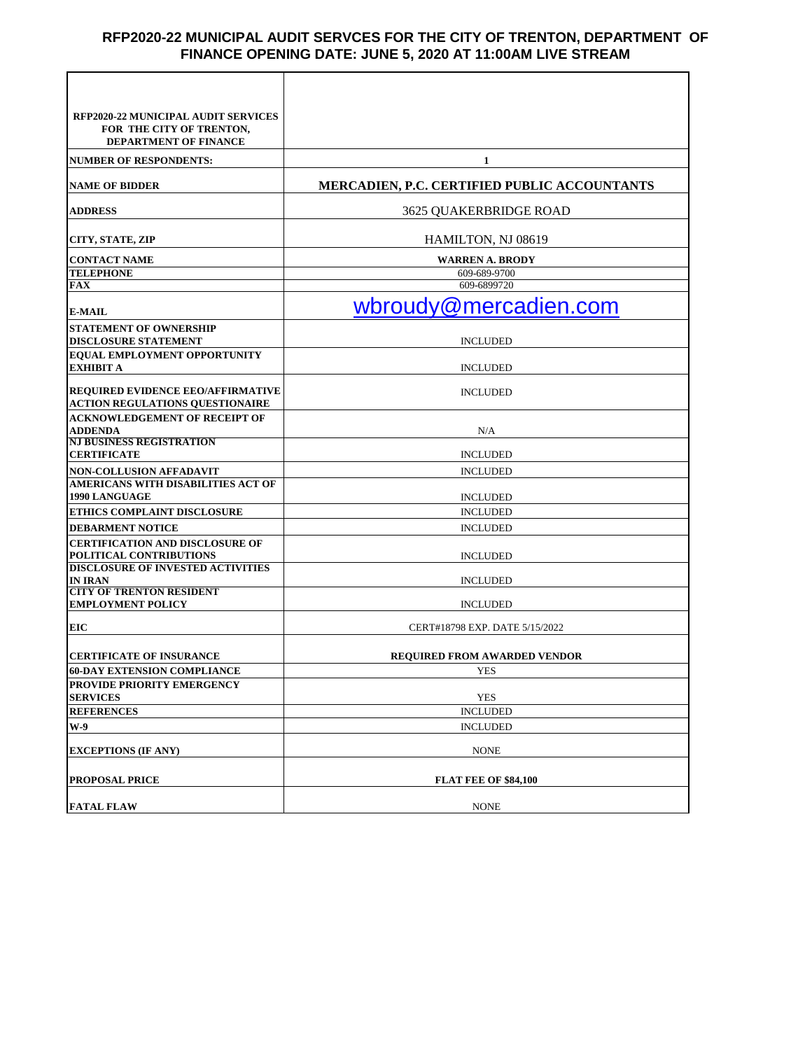## **RFP2020-22 MUNICIPAL AUDIT SERVCES FOR THE CITY OF TRENTON, DEPARTMENT OF FINANCE OPENING DATE: JUNE 5, 2020 AT 11:00AM LIVE STREAM**

| <b>RFP2020-22 MUNICIPAL AUDIT SERVICES</b>                                         |                                                     |
|------------------------------------------------------------------------------------|-----------------------------------------------------|
| FOR THE CITY OF TRENTON,<br>DEPARTMENT OF FINANCE                                  |                                                     |
| <b>NUMBER OF RESPONDENTS:</b>                                                      | 1                                                   |
| <b>NAME OF BIDDER</b>                                                              | <b>MERCADIEN, P.C. CERTIFIED PUBLIC ACCOUNTANTS</b> |
| <b>ADDRESS</b>                                                                     | <b>3625 OUAKERBRIDGE ROAD</b>                       |
| CITY, STATE, ZIP                                                                   | HAMILTON, NJ 08619                                  |
| <b>CONTACT NAME</b>                                                                | <b>WARREN A. BRODY</b>                              |
| <b>TELEPHONE</b>                                                                   | 609-689-9700                                        |
| FAX                                                                                | 609-6899720                                         |
| <b>E-MAIL</b>                                                                      | wbroudy@mercadien.com                               |
| <b>STATEMENT OF OWNERSHIP</b><br><b>DISCLOSURE STATEMENT</b>                       | <b>INCLUDED</b>                                     |
| <b>EQUAL EMPLOYMENT OPPORTUNITY</b>                                                |                                                     |
| <b>EXHIBIT A</b>                                                                   | <b>INCLUDED</b>                                     |
| <b>REQUIRED EVIDENCE EEO/AFFIRMATIVE</b><br><b>ACTION REGULATIONS QUESTIONAIRE</b> | <b>INCLUDED</b>                                     |
| <b>ACKNOWLEDGEMENT OF RECEIPT OF</b><br><b>ADDENDA</b>                             | N/A                                                 |
| <b>NJ BUSINESS REGISTRATION</b>                                                    |                                                     |
| <b>CERTIFICATE</b>                                                                 | <b>INCLUDED</b>                                     |
| <b>NON-COLLUSION AFFADAVIT</b>                                                     | <b>INCLUDED</b>                                     |
| AMERICANS WITH DISABILITIES ACT OF<br><b>1990 LANGUAGE</b>                         | <b>INCLUDED</b>                                     |
| <b>ETHICS COMPLAINT DISCLOSURE</b>                                                 | <b>INCLUDED</b>                                     |
| <b>DEBARMENT NOTICE</b>                                                            | <b>INCLUDED</b>                                     |
| <b>CERTIFICATION AND DISCLOSURE OF</b>                                             |                                                     |
| POLITICAL CONTRIBUTIONS                                                            | <b>INCLUDED</b>                                     |
| <b>DISCLOSURE OF INVESTED ACTIVITIES</b>                                           |                                                     |
| <b>IN IRAN</b>                                                                     | <b>INCLUDED</b>                                     |
| <b>CITY OF TRENTON RESIDENT</b><br><b>EMPLOYMENT POLICY</b>                        | <b>INCLUDED</b>                                     |
| EIC                                                                                | CERT#18798 EXP. DATE 5/15/2022                      |
|                                                                                    |                                                     |
| <b>CERTIFICATE OF INSURANCE</b>                                                    | <b>REQUIRED FROM AWARDED VENDOR</b>                 |
| <b>60-DAY EXTENSION COMPLIANCE</b>                                                 | YES                                                 |
| <b>PROVIDE PRIORITY EMERGENCY</b><br><b>SERVICES</b>                               | <b>YES</b>                                          |
| <b>REFERENCES</b>                                                                  | <b>INCLUDED</b>                                     |
| W-9                                                                                | <b>INCLUDED</b>                                     |
|                                                                                    |                                                     |
| <b>EXCEPTIONS (IF ANY)</b>                                                         | <b>NONE</b>                                         |
| <b>PROPOSAL PRICE</b>                                                              | <b>FLAT FEE OF \$84,100</b>                         |
| <b>FATAL FLAW</b>                                                                  | <b>NONE</b>                                         |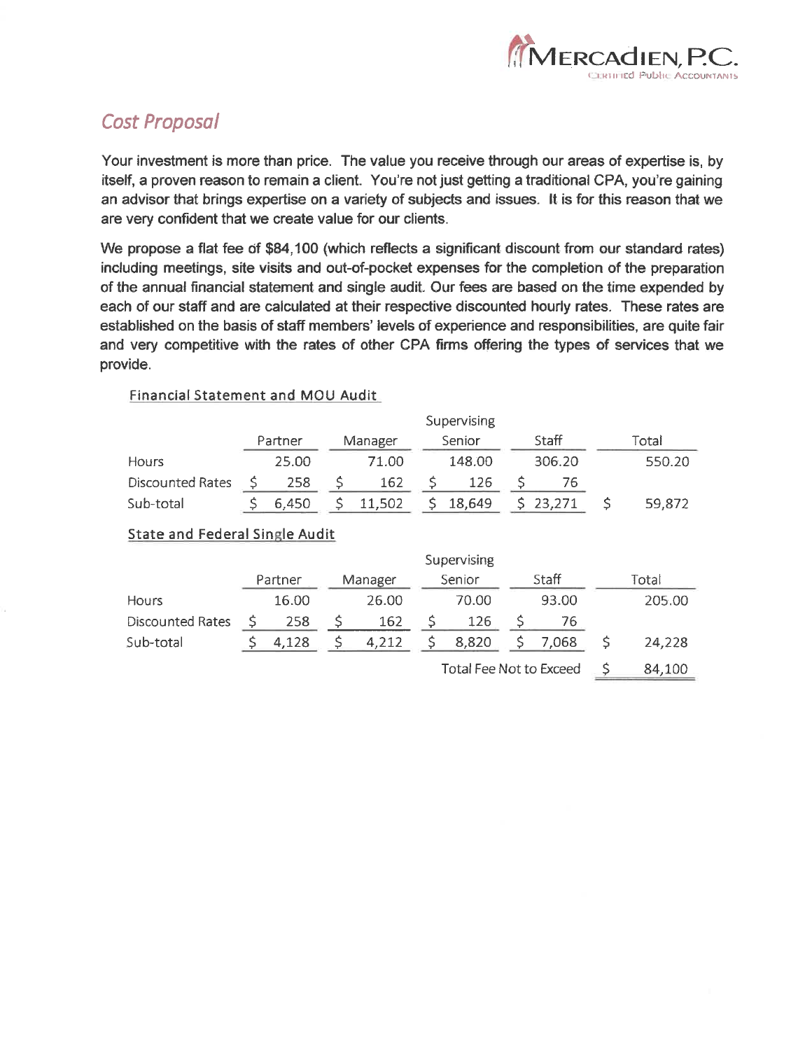

# **Cost Proposal**

Your investment is more than price. The value you receive through our areas of expertise is, by itself, a proven reason to remain a client. You're not just getting a traditional CPA, you're gaining an advisor that brings expertise on a variety of subjects and issues. It is for this reason that we are very confident that we create value for our clients.

We propose a flat fee of \$84,100 (which reflects a significant discount from our standard rates) including meetings, site visits and out-of-pocket expenses for the completion of the preparation of the annual financial statement and single audit. Our fees are based on the time expended by each of our staff and are calculated at their respective discounted hourly rates. These rates are established on the basis of staff members' levels of experience and responsibilities, are quite fair and very competitive with the rates of other CPA firms offering the types of services that we provide.

#### Financial Statement and MOU Audit

|                         | Supervising |         |  |         |  |        |  |          |        |
|-------------------------|-------------|---------|--|---------|--|--------|--|----------|--------|
|                         |             | Partner |  | Manager |  | Senior |  | Staff    | Total  |
| Hours                   |             | 25.00   |  | 71.00   |  | 148.00 |  | 306.20   | 550.20 |
| <b>Discounted Rates</b> |             | 258     |  | 162     |  | 126    |  |          |        |
| Sub-total               |             | 6.450   |  | 11,502  |  | 18,649 |  | \$23,271 | 59,872 |

# **State and Federal Single Audit**

|                         | Supervising |         |         |       |        |                                |       |       |       |        |
|-------------------------|-------------|---------|---------|-------|--------|--------------------------------|-------|-------|-------|--------|
|                         |             | Partner | Manager |       | Senior |                                | Staff |       | Total |        |
| Hours                   |             | 16.00   |         | 26.00 |        | 70.00                          |       | 93.00 |       | 205.00 |
| <b>Discounted Rates</b> |             | 258     |         | 162   |        | 126                            |       | 76    |       |        |
| Sub-total               |             | 4,128   |         | 4,212 |        | 8,820                          |       | 7,068 |       | 24,228 |
|                         |             |         |         |       |        | <b>Total Fee Not to Exceed</b> |       |       |       | 84,100 |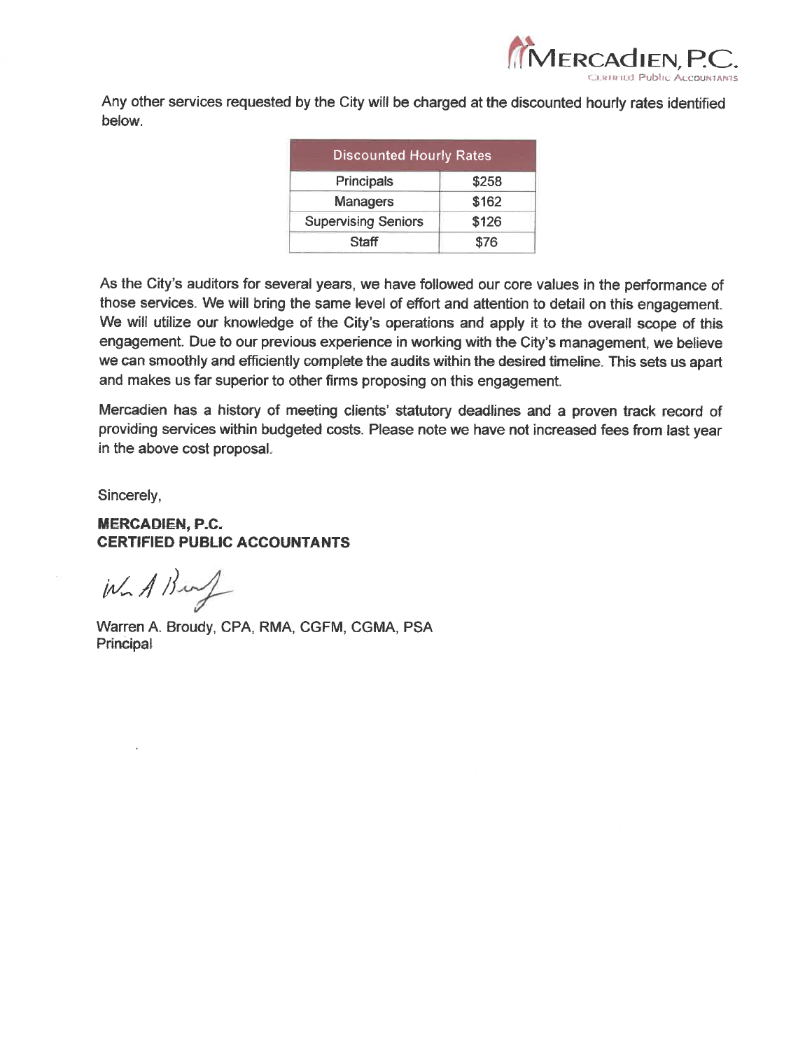

Any other services requested by the City will be charged at the discounted hourly rates identified below.

| <b>Discounted Hourly Rates</b> |       |  |
|--------------------------------|-------|--|
| Principals                     | \$258 |  |
| <b>Managers</b>                | \$162 |  |
| <b>Supervising Seniors</b>     | \$126 |  |
| Staff                          | \$76  |  |
|                                |       |  |

As the City's auditors for several years, we have followed our core values in the performance of those services. We will bring the same level of effort and attention to detail on this engagement. We will utilize our knowledge of the City's operations and apply it to the overall scope of this engagement. Due to our previous experience in working with the City's management, we believe we can smoothly and efficiently complete the audits within the desired timeline. This sets us apart and makes us far superior to other firms proposing on this engagement.

Mercadien has a history of meeting clients' statutory deadlines and a proven track record of providing services within budgeted costs. Please note we have not increased fees from last year in the above cost proposal.

Sincerely,

# **MERCADIEN, P.C. CERTIFIED PUBLIC ACCOUNTANTS**

 $W_{n}$  A Bung

Warren A. Broudy, CPA, RMA, CGFM, CGMA, PSA Principal